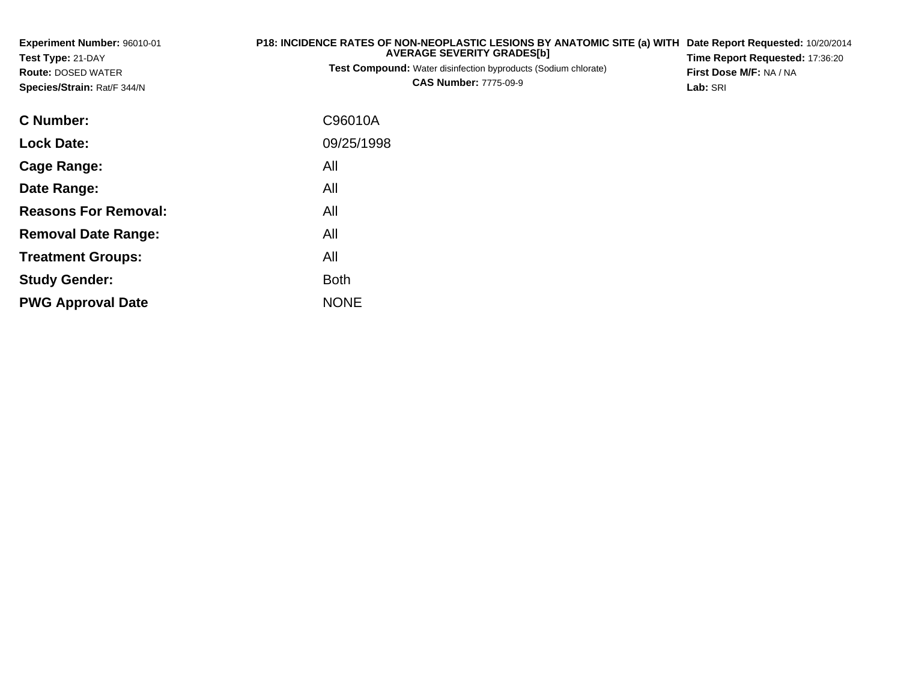| <b>Experiment Number: 96010-01</b><br>Test Type: 21-DAY<br><b>Route: DOSED WATER</b><br>Species/Strain: Rat/F 344/N | P18: INCIDENCE RATES OF NON-NEOPLASTIC LESIONS BY ANATOMIC SITE (a) WITH<br><b>AVERAGE SEVERITY GRADES[b]</b><br><b>Test Compound:</b> Water disinfection byproducts (Sodium chlorate)<br><b>CAS Number: 7775-09-9</b> |  |  |  |  |
|---------------------------------------------------------------------------------------------------------------------|------------------------------------------------------------------------------------------------------------------------------------------------------------------------------------------------------------------------|--|--|--|--|
| C Number:                                                                                                           | C96010A                                                                                                                                                                                                                |  |  |  |  |
| <b>Lock Date:</b>                                                                                                   | 09/25/1998                                                                                                                                                                                                             |  |  |  |  |
| <b>Cage Range:</b>                                                                                                  | All                                                                                                                                                                                                                    |  |  |  |  |
| Date Range:                                                                                                         | All                                                                                                                                                                                                                    |  |  |  |  |
| <b>Reasons For Removal:</b>                                                                                         | All                                                                                                                                                                                                                    |  |  |  |  |
| <b>Removal Date Range:</b>                                                                                          | All                                                                                                                                                                                                                    |  |  |  |  |
| <b>Treatment Groups:</b>                                                                                            | All                                                                                                                                                                                                                    |  |  |  |  |
| <b>Study Gender:</b>                                                                                                | <b>Both</b>                                                                                                                                                                                                            |  |  |  |  |
| <b>PWG Approval Date</b>                                                                                            | <b>NONE</b>                                                                                                                                                                                                            |  |  |  |  |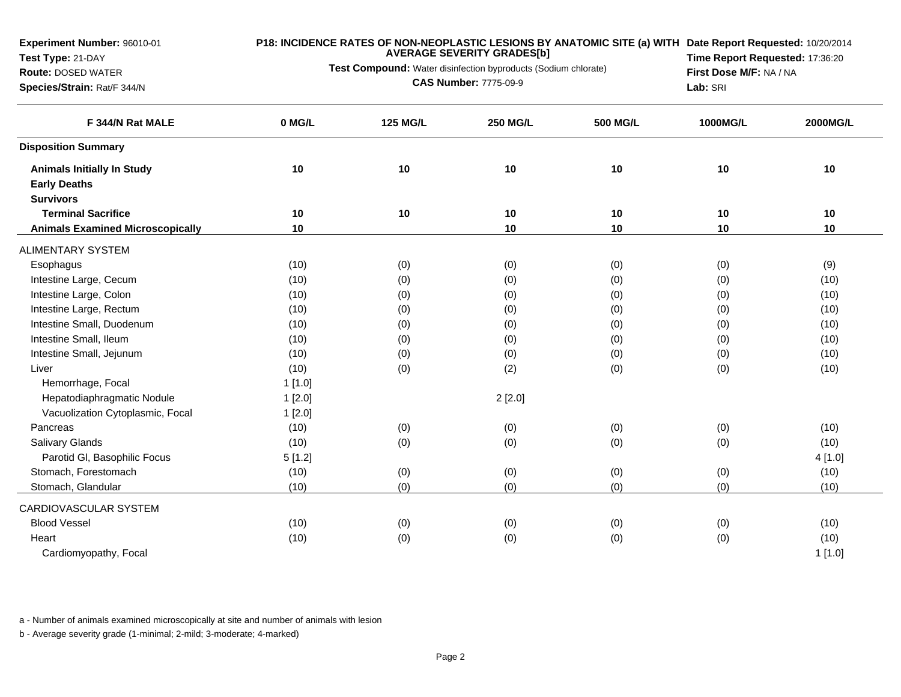**Test Type:** 21-DAY**Route:** DOSED WATER

# **P18: INCIDENCE RATES OF NON-NEOPLASTIC LESIONS BY ANATOMIC SITE (a) WITH AVERAGE SEVERITY GRADES[b]**

**Test Compound:** Water disinfection byproducts (Sodium chlorate)

**Species/Strain:** Rat/F 344/N

**CAS Number:** 7775-09-9

**Date Report Requested:** 10/20/2014 **Time Report Requested:** 17:36:20**First Dose M/F:** NA / NA**Lab:** SRI

| F 344/N Rat MALE                        | 0 MG/L | <b>125 MG/L</b> | <b>250 MG/L</b> | <b>500 MG/L</b> | 1000MG/L | <b>2000MG/L</b> |
|-----------------------------------------|--------|-----------------|-----------------|-----------------|----------|-----------------|
| <b>Disposition Summary</b>              |        |                 |                 |                 |          |                 |
| <b>Animals Initially In Study</b>       | 10     | 10              | 10              | 10              | 10       | 10              |
| <b>Early Deaths</b>                     |        |                 |                 |                 |          |                 |
| <b>Survivors</b>                        |        |                 |                 |                 |          |                 |
| <b>Terminal Sacrifice</b>               | 10     | 10              | 10              | 10              | 10       | 10              |
| <b>Animals Examined Microscopically</b> | 10     |                 | 10              | 10              | 10       | 10              |
| <b>ALIMENTARY SYSTEM</b>                |        |                 |                 |                 |          |                 |
| Esophagus                               | (10)   | (0)             | (0)             | (0)             | (0)      | (9)             |
| Intestine Large, Cecum                  | (10)   | (0)             | (0)             | (0)             | (0)      | (10)            |
| Intestine Large, Colon                  | (10)   | (0)             | (0)             | (0)             | (0)      | (10)            |
| Intestine Large, Rectum                 | (10)   | (0)             | (0)             | (0)             | (0)      | (10)            |
| Intestine Small, Duodenum               | (10)   | (0)             | (0)             | (0)             | (0)      | (10)            |
| Intestine Small, Ileum                  | (10)   | (0)             | (0)             | (0)             | (0)      | (10)            |
| Intestine Small, Jejunum                | (10)   | (0)             | (0)             | (0)             | (0)      | (10)            |
| Liver                                   | (10)   | (0)             | (2)             | (0)             | (0)      | (10)            |
| Hemorrhage, Focal                       | 1[1.0] |                 |                 |                 |          |                 |
| Hepatodiaphragmatic Nodule              | 1[2.0] |                 | 2[2.0]          |                 |          |                 |
| Vacuolization Cytoplasmic, Focal        | 1[2.0] |                 |                 |                 |          |                 |
| Pancreas                                | (10)   | (0)             | (0)             | (0)             | (0)      | (10)            |
| Salivary Glands                         | (10)   | (0)             | (0)             | (0)             | (0)      | (10)            |
| Parotid GI, Basophilic Focus            | 5[1.2] |                 |                 |                 |          | 4 [1.0]         |
| Stomach, Forestomach                    | (10)   | (0)             | (0)             | (0)             | (0)      | (10)            |
| Stomach, Glandular                      | (10)   | (0)             | (0)             | (0)             | (0)      | (10)            |
| CARDIOVASCULAR SYSTEM                   |        |                 |                 |                 |          |                 |
| <b>Blood Vessel</b>                     | (10)   | (0)             | (0)             | (0)             | (0)      | (10)            |
| Heart                                   | (10)   | (0)             | (0)             | (0)             | (0)      | (10)            |
| Cardiomyopathy, Focal                   |        |                 |                 |                 |          | 1[1.0]          |

a - Number of animals examined microscopically at site and number of animals with lesion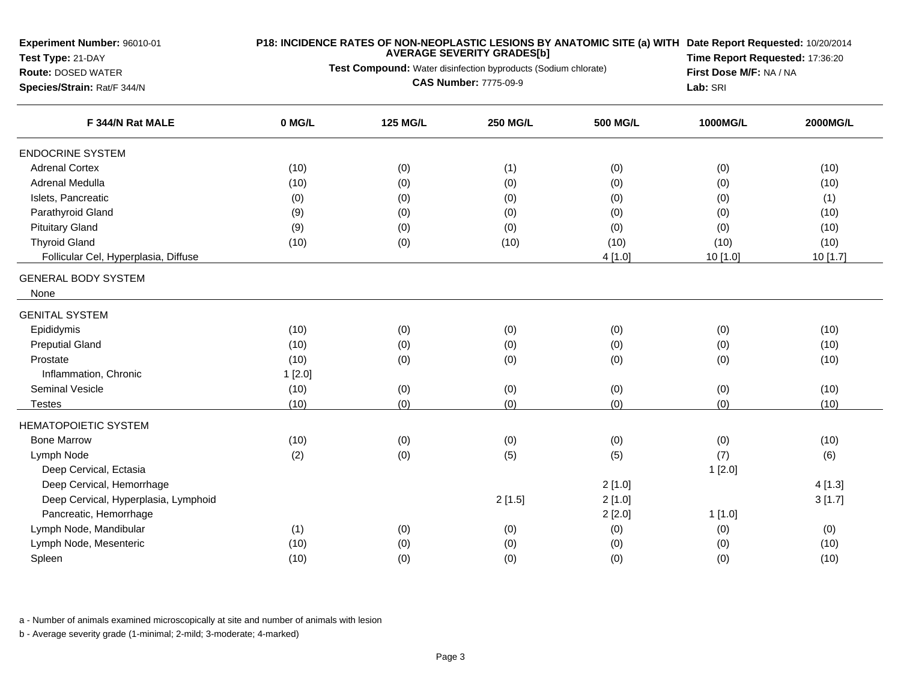**Test Type:** 21-DAY

## **Route:** DOSED WATER

**Species/Strain:** Rat/F 344/N

## **P18: INCIDENCE RATES OF NON-NEOPLASTIC LESIONS BY ANATOMIC SITE (a) WITH AVERAGE SEVERITY GRADES[b] Date Report Requested:** 10/20/2014

**Test Compound:** Water disinfection byproducts (Sodium chlorate)

**CAS Number:** 7775-09-9

**Time Report Requested:** 17:36:20**First Dose M/F:** NA / NA**Lab:** SRI

| F 344/N Rat MALE                     | 0 MG/L | <b>125 MG/L</b> | <b>250 MG/L</b> | <b>500 MG/L</b> | 1000MG/L | 2000MG/L |
|--------------------------------------|--------|-----------------|-----------------|-----------------|----------|----------|
| <b>ENDOCRINE SYSTEM</b>              |        |                 |                 |                 |          |          |
| <b>Adrenal Cortex</b>                | (10)   | (0)             | (1)             | (0)             | (0)      | (10)     |
| Adrenal Medulla                      | (10)   | (0)             | (0)             | (0)             | (0)      | (10)     |
| Islets, Pancreatic                   | (0)    | (0)             | (0)             | (0)             | (0)      | (1)      |
| Parathyroid Gland                    | (9)    | (0)             | (0)             | (0)             | (0)      | (10)     |
| <b>Pituitary Gland</b>               | (9)    | (0)             | (0)             | (0)             | (0)      | (10)     |
| <b>Thyroid Gland</b>                 | (10)   | (0)             | (10)            | (10)            | (10)     | (10)     |
| Follicular Cel, Hyperplasia, Diffuse |        |                 |                 | 4 [1.0]         | 10 [1.0] | 10 [1.7] |
| <b>GENERAL BODY SYSTEM</b>           |        |                 |                 |                 |          |          |
| None                                 |        |                 |                 |                 |          |          |
| <b>GENITAL SYSTEM</b>                |        |                 |                 |                 |          |          |
| Epididymis                           | (10)   | (0)             | (0)             | (0)             | (0)      | (10)     |
| <b>Preputial Gland</b>               | (10)   | (0)             | (0)             | (0)             | (0)      | (10)     |
| Prostate                             | (10)   | (0)             | (0)             | (0)             | (0)      | (10)     |
| Inflammation, Chronic                | 1[2.0] |                 |                 |                 |          |          |
| <b>Seminal Vesicle</b>               | (10)   | (0)             | (0)             | (0)             | (0)      | (10)     |
| Testes                               | (10)   | (0)             | (0)             | (0)             | (0)      | (10)     |
| <b>HEMATOPOIETIC SYSTEM</b>          |        |                 |                 |                 |          |          |
| <b>Bone Marrow</b>                   | (10)   | (0)             | (0)             | (0)             | (0)      | (10)     |
| Lymph Node                           | (2)    | (0)             | (5)             | (5)             | (7)      | (6)      |
| Deep Cervical, Ectasia               |        |                 |                 |                 | 1[2.0]   |          |
| Deep Cervical, Hemorrhage            |        |                 |                 | 2[1.0]          |          | 4[1.3]   |
| Deep Cervical, Hyperplasia, Lymphoid |        |                 | 2[1.5]          | 2[1.0]          |          | 3[1.7]   |
| Pancreatic, Hemorrhage               |        |                 |                 | 2[2.0]          | 1[1.0]   |          |
| Lymph Node, Mandibular               | (1)    | (0)             | (0)             | (0)             | (0)      | (0)      |
| Lymph Node, Mesenteric               | (10)   | (0)             | (0)             | (0)             | (0)      | (10)     |
| Spleen                               | (10)   | (0)             | (0)             | (0)             | (0)      | (10)     |

a - Number of animals examined microscopically at site and number of animals with lesion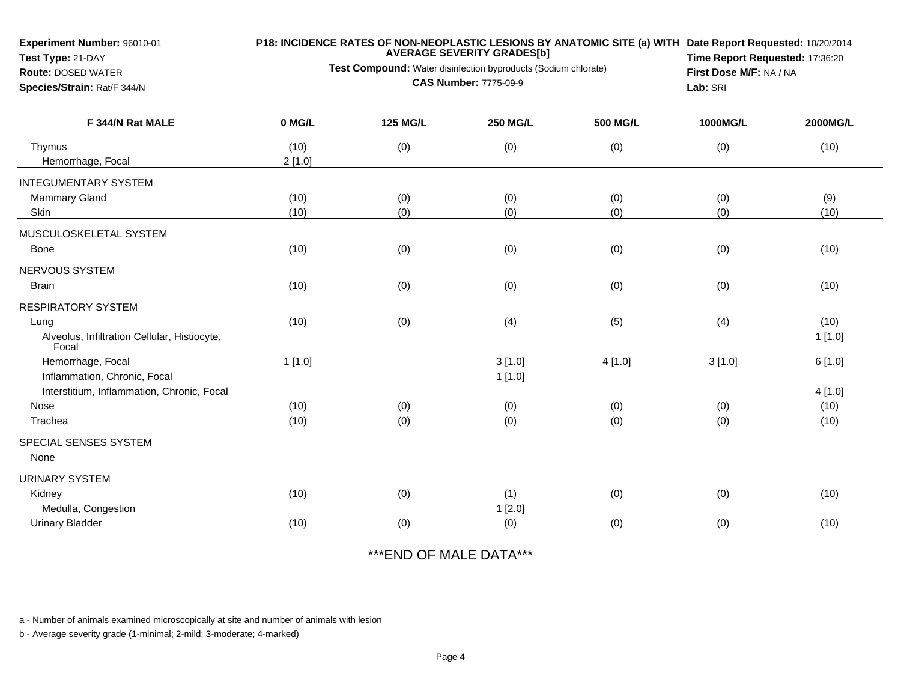**Species/Strain:** Rat/F 344/N

# **Test Type:** 21-DAY

#### **Route:** DOSED WATER

## **P18: INCIDENCE RATES OF NON-NEOPLASTIC LESIONS BY ANATOMIC SITE (a) WITH AVERAGE SEVERITY GRADES[b] Date Report Requested:** 10/20/2014

**Test Compound:** Water disinfection byproducts (Sodium chlorate)

**CAS Number:** 7775-09-9

**Time Report Requested:** 17:36:20**First Dose M/F:** NA / NA**Lab:** SRI

| F 344/N Rat MALE                                      | 0 MG/L | <b>125 MG/L</b> | <b>250 MG/L</b> | 500 MG/L | 1000MG/L | 2000MG/L |
|-------------------------------------------------------|--------|-----------------|-----------------|----------|----------|----------|
| Thymus                                                | (10)   | (0)             | (0)             | (0)      | (0)      | (10)     |
| Hemorrhage, Focal                                     | 2[1.0] |                 |                 |          |          |          |
| <b>INTEGUMENTARY SYSTEM</b>                           |        |                 |                 |          |          |          |
| Mammary Gland                                         | (10)   | (0)             | (0)             | (0)      | (0)      | (9)      |
| Skin                                                  | (10)   | (0)             | (0)             | (0)      | (0)      | (10)     |
| MUSCULOSKELETAL SYSTEM                                |        |                 |                 |          |          |          |
| Bone                                                  | (10)   | (0)             | (0)             | (0)      | (0)      | (10)     |
| NERVOUS SYSTEM                                        |        |                 |                 |          |          |          |
| <b>Brain</b>                                          | (10)   | (0)             | (0)             | (0)      | (0)      | (10)     |
| <b>RESPIRATORY SYSTEM</b>                             |        |                 |                 |          |          |          |
| Lung                                                  | (10)   | (0)             | (4)             | (5)      | (4)      | (10)     |
| Alveolus, Infiltration Cellular, Histiocyte,<br>Focal |        |                 |                 |          |          | 1[1.0]   |
| Hemorrhage, Focal                                     | 1[1.0] |                 | 3[1.0]          | 4[1.0]   | 3[1.0]   | 6[1.0]   |
| Inflammation, Chronic, Focal                          |        |                 | 1[1.0]          |          |          |          |
| Interstitium, Inflammation, Chronic, Focal            |        |                 |                 |          |          | 4[1.0]   |
| Nose                                                  | (10)   | (0)             | (0)             | (0)      | (0)      | (10)     |
| Trachea                                               | (10)   | (0)             | (0)             | (0)      | (0)      | (10)     |
| SPECIAL SENSES SYSTEM                                 |        |                 |                 |          |          |          |
| None                                                  |        |                 |                 |          |          |          |
| <b>URINARY SYSTEM</b>                                 |        |                 |                 |          |          |          |
| Kidney                                                | (10)   | (0)             | (1)             | (0)      | (0)      | (10)     |
| Medulla, Congestion                                   |        |                 | 1[2.0]          |          |          |          |
| <b>Urinary Bladder</b>                                | (10)   | (0)             | (0)             | (0)      | (0)      | (10)     |

\*\*\*END OF MALE DATA\*\*\*

a - Number of animals examined microscopically at site and number of animals with lesion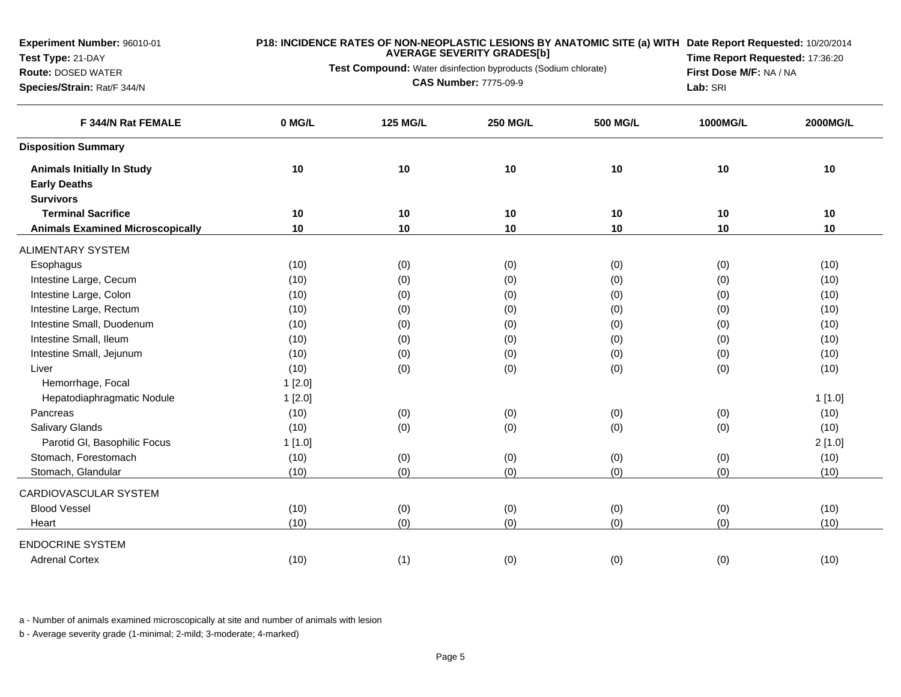**Species/Strain:** Rat/F 344/N

**Test Type:** 21-DAY

# **Route:** DOSED WATER

**P18: INCIDENCE RATES OF NON-NEOPLASTIC LESIONS BY ANATOMIC SITE (a) WITH AVERAGE SEVERITY GRADES[b] Date Report Requested:** 10/20/2014

**Test Compound:** Water disinfection byproducts (Sodium chlorate)

**CAS Number:** 7775-09-9

**Time Report Requested:** 17:36:20**First Dose M/F:** NA / NA**Lab:** SRI

| F 344/N Rat FEMALE                                       | 0 MG/L | <b>125 MG/L</b> | <b>250 MG/L</b> | <b>500 MG/L</b> | 1000MG/L | 2000MG/L |
|----------------------------------------------------------|--------|-----------------|-----------------|-----------------|----------|----------|
| <b>Disposition Summary</b>                               |        |                 |                 |                 |          |          |
| <b>Animals Initially In Study</b><br><b>Early Deaths</b> | 10     | 10              | 10              | 10              | 10       | 10       |
| <b>Survivors</b>                                         |        |                 |                 |                 |          |          |
| <b>Terminal Sacrifice</b>                                | 10     | 10              | 10              | 10              | 10       | 10       |
| <b>Animals Examined Microscopically</b>                  | 10     | 10              | 10              | $10$            | 10       | 10       |
| <b>ALIMENTARY SYSTEM</b>                                 |        |                 |                 |                 |          |          |
| Esophagus                                                | (10)   | (0)             | (0)             | (0)             | (0)      | (10)     |
| Intestine Large, Cecum                                   | (10)   | (0)             | (0)             | (0)             | (0)      | (10)     |
| Intestine Large, Colon                                   | (10)   | (0)             | (0)             | (0)             | (0)      | (10)     |
| Intestine Large, Rectum                                  | (10)   | (0)             | (0)             | (0)             | (0)      | (10)     |
| Intestine Small, Duodenum                                | (10)   | (0)             | (0)             | (0)             | (0)      | (10)     |
| Intestine Small, Ileum                                   | (10)   | (0)             | (0)             | (0)             | (0)      | (10)     |
| Intestine Small, Jejunum                                 | (10)   | (0)             | (0)             | (0)             | (0)      | (10)     |
| Liver                                                    | (10)   | (0)             | (0)             | (0)             | (0)      | (10)     |
| Hemorrhage, Focal                                        | 1[2.0] |                 |                 |                 |          |          |
| Hepatodiaphragmatic Nodule                               | 1[2.0] |                 |                 |                 |          | 1[1.0]   |
| Pancreas                                                 | (10)   | (0)             | (0)             | (0)             | (0)      | (10)     |
| Salivary Glands                                          | (10)   | (0)             | (0)             | (0)             | (0)      | (10)     |
| Parotid GI, Basophilic Focus                             | 1[1.0] |                 |                 |                 |          | 2[1.0]   |
| Stomach, Forestomach                                     | (10)   | (0)             | (0)             | (0)             | (0)      | (10)     |
| Stomach, Glandular                                       | (10)   | (0)             | (0)             | (0)             | (0)      | (10)     |
| CARDIOVASCULAR SYSTEM                                    |        |                 |                 |                 |          |          |
| <b>Blood Vessel</b>                                      | (10)   | (0)             | (0)             | (0)             | (0)      | (10)     |
| Heart                                                    | (10)   | (0)             | (0)             | (0)             | (0)      | (10)     |
| <b>ENDOCRINE SYSTEM</b>                                  |        |                 |                 |                 |          |          |
| <b>Adrenal Cortex</b>                                    | (10)   | (1)             | (0)             | (0)             | (0)      | (10)     |

a - Number of animals examined microscopically at site and number of animals with lesion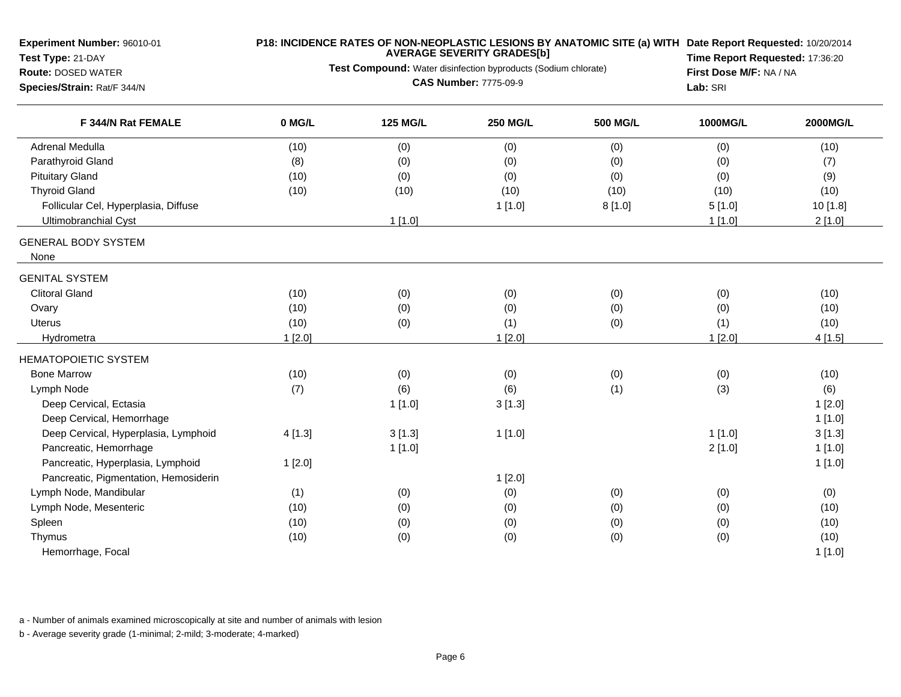| Experiment Number: 96010-01                    |        |                                                                | <b>AVERAGE SEVERITY GRADES[b]</b>                          |                 | P18: INCIDENCE RATES OF NON-NEOPLASTIC LESIONS BY ANATOMIC SITE (a) WITH Date Report Requested: 10/20/2014 |          |  |  |
|------------------------------------------------|--------|----------------------------------------------------------------|------------------------------------------------------------|-----------------|------------------------------------------------------------------------------------------------------------|----------|--|--|
| Test Type: 21-DAY<br><b>Route: DOSED WATER</b> |        | Test Compound: Water disinfection byproducts (Sodium chlorate) | Time Report Requested: 17:36:20<br>First Dose M/F: NA / NA |                 |                                                                                                            |          |  |  |
| Species/Strain: Rat/F 344/N                    |        | <b>CAS Number: 7775-09-9</b>                                   | Lab: SRI                                                   |                 |                                                                                                            |          |  |  |
| F 344/N Rat FEMALE                             | 0 MG/L | <b>125 MG/L</b>                                                | <b>250 MG/L</b>                                            | <b>500 MG/L</b> | 1000MG/L                                                                                                   | 2000MG/L |  |  |
| <b>Adrenal Medulla</b>                         | (10)   | (0)                                                            | (0)                                                        | (0)             | (0)                                                                                                        | (10)     |  |  |
| Parathyroid Gland                              | (8)    | (0)                                                            | (0)                                                        | (0)             | (0)                                                                                                        | (7)      |  |  |
| <b>Pituitary Gland</b>                         | (10)   | (0)                                                            | (0)                                                        | (0)             | (0)                                                                                                        | (9)      |  |  |
| <b>Thyroid Gland</b>                           | (10)   | (10)                                                           | (10)                                                       | (10)            | (10)                                                                                                       | (10)     |  |  |
| Follicular Cel, Hyperplasia, Diffuse           |        |                                                                | 1[1.0]                                                     | 8[1.0]          | 5[1.0]                                                                                                     | 10 [1.8] |  |  |
| <b>Ultimobranchial Cyst</b>                    |        | 1[1.0]                                                         |                                                            |                 | 1[1.0]                                                                                                     | 2[1.0]   |  |  |
| <b>GENERAL BODY SYSTEM</b><br>None             |        |                                                                |                                                            |                 |                                                                                                            |          |  |  |
| <b>GENITAL SYSTEM</b>                          |        |                                                                |                                                            |                 |                                                                                                            |          |  |  |
| <b>Clitoral Gland</b>                          | (10)   | (0)                                                            | (0)                                                        | (0)             | (0)                                                                                                        | (10)     |  |  |
| Ovary                                          | (10)   | (0)                                                            | (0)                                                        | (0)             | (0)                                                                                                        | (10)     |  |  |
| <b>Uterus</b>                                  | (10)   | (0)                                                            | (1)                                                        | (0)             | (1)                                                                                                        | (10)     |  |  |
| Hydrometra                                     | 1[2.0] |                                                                | 1[2.0]                                                     |                 | 1[2.0]                                                                                                     | 4[1.5]   |  |  |
| <b>HEMATOPOIETIC SYSTEM</b>                    |        |                                                                |                                                            |                 |                                                                                                            |          |  |  |
| <b>Bone Marrow</b>                             | (10)   | (0)                                                            | (0)                                                        | (0)             | (0)                                                                                                        | (10)     |  |  |
| Lymph Node                                     | (7)    | (6)                                                            | (6)                                                        | (1)             | (3)                                                                                                        | (6)      |  |  |
| Deep Cervical, Ectasia                         |        | 1[1.0]                                                         | 3[1.3]                                                     |                 |                                                                                                            | 1[2.0]   |  |  |
| Deep Cervical, Hemorrhage                      |        |                                                                |                                                            |                 |                                                                                                            | 1[1.0]   |  |  |
| Deep Cervical, Hyperplasia, Lymphoid           | 4[1.3] | 3[1.3]                                                         | 1[1.0]                                                     |                 | $1$ [1.0]                                                                                                  | 3[1.3]   |  |  |
| Pancreatic, Hemorrhage                         |        | 1[1.0]                                                         |                                                            |                 | 2[1.0]                                                                                                     | 1[1.0]   |  |  |
| Pancreatic, Hyperplasia, Lymphoid              | 1[2.0] |                                                                |                                                            |                 |                                                                                                            | 1[1.0]   |  |  |
| Pancreatic, Pigmentation, Hemosiderin          |        |                                                                | 1[2.0]                                                     |                 |                                                                                                            |          |  |  |
| Lymph Node, Mandibular                         | (1)    | (0)                                                            | (0)                                                        | (0)             | (0)                                                                                                        | (0)      |  |  |
| Lymph Node, Mesenteric                         | (10)   | (0)                                                            | (0)                                                        | (0)             | (0)                                                                                                        | (10)     |  |  |
| Spleen                                         | (10)   | (0)                                                            | (0)                                                        | (0)             | (0)                                                                                                        | (10)     |  |  |
| Thymus                                         | (10)   | (0)                                                            | (0)                                                        | (0)             | (0)                                                                                                        | (10)     |  |  |
| Hemorrhage, Focal                              |        |                                                                |                                                            |                 |                                                                                                            | 1[1.0]   |  |  |

a - Number of animals examined microscopically at site and number of animals with lesion